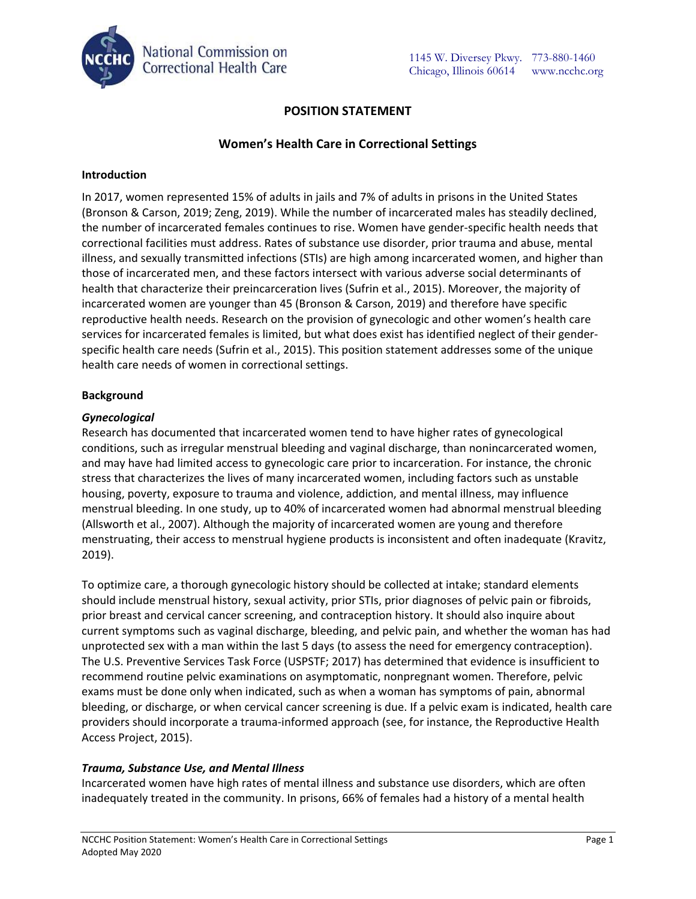

# **POSITION STATEMENT**

## **Women's Health Care in Correctional Settings**

#### **Introduction**

In 2017, women represented 15% of adults in jails and 7% of adults in prisons in the United States (Bronson & Carson, 2019; Zeng, 2019). While the number of incarcerated males has steadily declined, the number of incarcerated females continues to rise. Women have gender-specific health needs that correctional facilities must address. Rates of substance use disorder, prior trauma and abuse, mental illness, and sexually transmitted infections (STIs) are high among incarcerated women, and higher than those of incarcerated men, and these factors intersect with various adverse social determinants of health that characterize their preincarceration lives (Sufrin et al., 2015). Moreover, the majority of incarcerated women are younger than 45 (Bronson & Carson, 2019) and therefore have specific reproductive health needs. Research on the provision of gynecologic and other women's health care services for incarcerated females is limited, but what does exist has identified neglect of their genderspecific health care needs (Sufrin et al., 2015). This position statement addresses some of the unique health care needs of women in correctional settings.

### **Background**

#### *Gynecological*

Research has documented that incarcerated women tend to have higher rates of gynecological conditions, such as irregular menstrual bleeding and vaginal discharge, than nonincarcerated women, and may have had limited access to gynecologic care prior to incarceration. For instance, the chronic stress that characterizes the lives of many incarcerated women, including factors such as unstable housing, poverty, exposure to trauma and violence, addiction, and mental illness, may influence menstrual bleeding. In one study, up to 40% of incarcerated women had abnormal menstrual bleeding (Allsworth et al., 2007). Although the majority of incarcerated women are young and therefore menstruating, their access to menstrual hygiene products is inconsistent and often inadequate (Kravitz, 2019).

To optimize care, a thorough gynecologic history should be collected at intake; standard elements should include menstrual history, sexual activity, prior STIs, prior diagnoses of pelvic pain or fibroids, prior breast and cervical cancer screening, and contraception history. It should also inquire about current symptoms such as vaginal discharge, bleeding, and pelvic pain, and whether the woman has had unprotected sex with a man within the last 5 days (to assess the need for emergency contraception). The U.S. Preventive Services Task Force (USPSTF; 2017) has determined that evidence is insufficient to recommend routine pelvic examinations on asymptomatic, nonpregnant women. Therefore, pelvic exams must be done only when indicated, such as when a woman has symptoms of pain, abnormal bleeding, or discharge, or when cervical cancer screening is due. If a pelvic exam is indicated, health care providers should incorporate a trauma-informed approach (see, for instance, the Reproductive Health Access Project, 2015).

### *Trauma, Substance Use, and Mental Illness*

Incarcerated women have high rates of mental illness and substance use disorders, which are often inadequately treated in the community. In prisons, 66% of females had a history of a mental health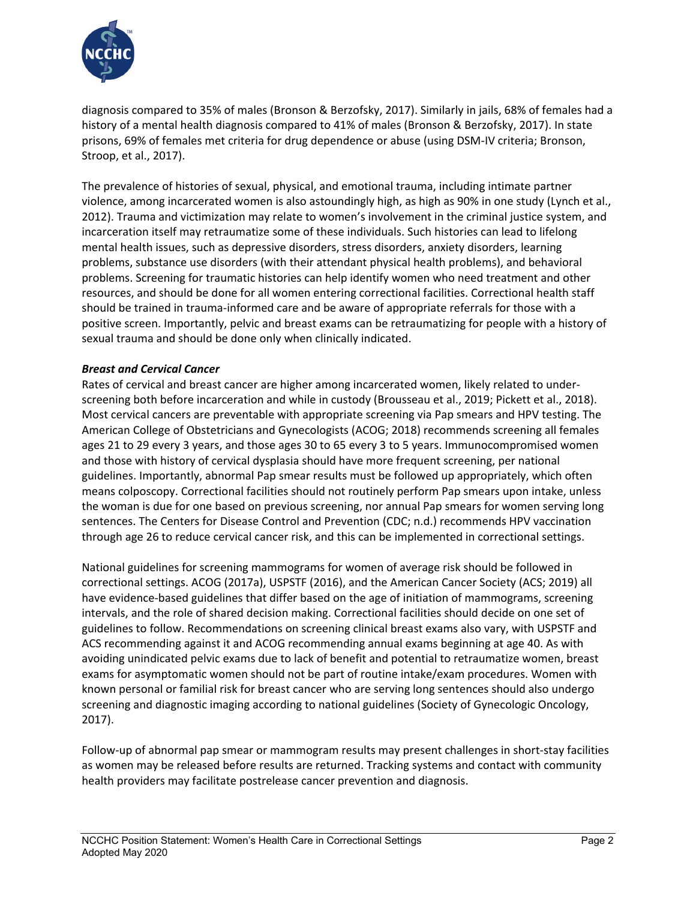

diagnosis compared to 35% of males (Bronson & Berzofsky, 2017). Similarly in jails, 68% of females had a history of a mental health diagnosis compared to 41% of males (Bronson & Berzofsky, 2017). In state prisons, 69% of females met criteria for drug dependence or abuse (using DSM-IV criteria; Bronson, Stroop, et al., 2017).

The prevalence of histories of sexual, physical, and emotional trauma, including intimate partner violence, among incarcerated women is also astoundingly high, as high as 90% in one study (Lynch et al., 2012). Trauma and victimization may relate to women's involvement in the criminal justice system, and incarceration itself may retraumatize some of these individuals. Such histories can lead to lifelong mental health issues, such as depressive disorders, stress disorders, anxiety disorders, learning problems, substance use disorders (with their attendant physical health problems), and behavioral problems. Screening for traumatic histories can help identify women who need treatment and other resources, and should be done for all women entering correctional facilities. Correctional health staff should be trained in trauma-informed care and be aware of appropriate referrals for those with a positive screen. Importantly, pelvic and breast exams can be retraumatizing for people with a history of sexual trauma and should be done only when clinically indicated.

### *Breast and Cervical Cancer*

Rates of cervical and breast cancer are higher among incarcerated women, likely related to underscreening both before incarceration and while in custody (Brousseau et al., 2019; Pickett et al., 2018). Most cervical cancers are preventable with appropriate screening via Pap smears and HPV testing. The American College of Obstetricians and Gynecologists (ACOG; 2018) recommends screening all females ages 21 to 29 every 3 years, and those ages 30 to 65 every 3 to 5 years. Immunocompromised women and those with history of cervical dysplasia should have more frequent screening, per national guidelines. Importantly, abnormal Pap smear results must be followed up appropriately, which often means colposcopy. Correctional facilities should not routinely perform Pap smears upon intake, unless the woman is due for one based on previous screening, nor annual Pap smears for women serving long sentences. The Centers for Disease Control and Prevention (CDC; n.d.) recommends HPV vaccination through age 26 to reduce cervical cancer risk, and this can be implemented in correctional settings.

National guidelines for screening mammograms for women of average risk should be followed in correctional settings. ACOG (2017a), USPSTF (2016), and the American Cancer Society (ACS; 2019) all have evidence-based guidelines that differ based on the age of initiation of mammograms, screening intervals, and the role of shared decision making. Correctional facilities should decide on one set of guidelines to follow. Recommendations on screening clinical breast exams also vary, with USPSTF and ACS recommending against it and ACOG recommending annual exams beginning at age 40. As with avoiding unindicated pelvic exams due to lack of benefit and potential to retraumatize women, breast exams for asymptomatic women should not be part of routine intake/exam procedures. Women with known personal or familial risk for breast cancer who are serving long sentences should also undergo screening and diagnostic imaging according to national guidelines (Society of Gynecologic Oncology, 2017).

Follow-up of abnormal pap smear or mammogram results may present challenges in short-stay facilities as women may be released before results are returned. Tracking systems and contact with community health providers may facilitate postrelease cancer prevention and diagnosis.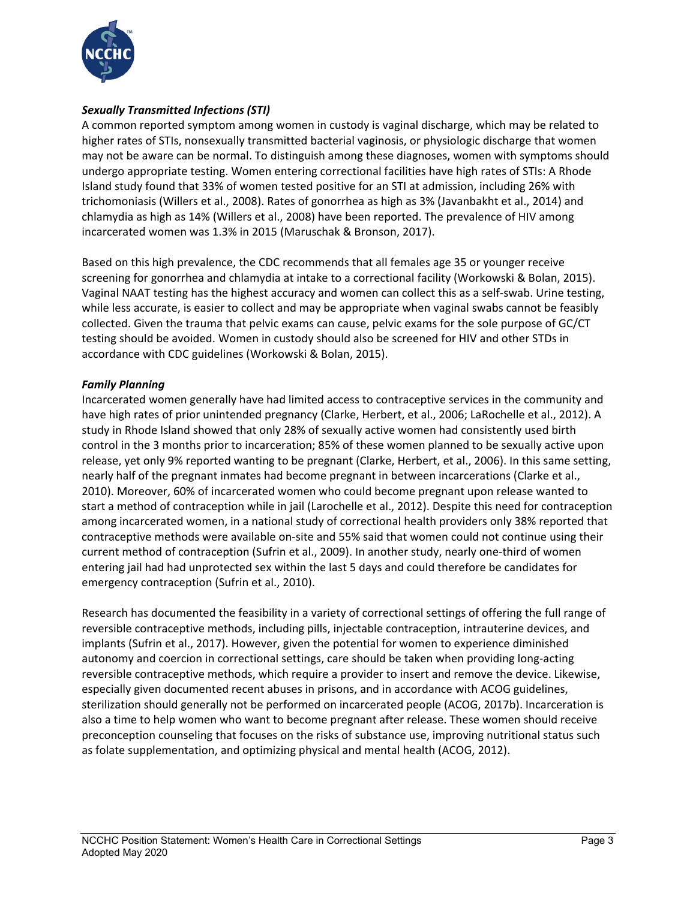

# *Sexually Transmitted Infections (STI)*

A common reported symptom among women in custody is vaginal discharge, which may be related to higher rates of STIs, nonsexually transmitted bacterial vaginosis, or physiologic discharge that women may not be aware can be normal. To distinguish among these diagnoses, women with symptoms should undergo appropriate testing. Women entering correctional facilities have high rates of STIs: A Rhode Island study found that 33% of women tested positive for an STI at admission, including 26% with trichomoniasis (Willers et al., 2008). Rates of gonorrhea as high as 3% (Javanbakht et al., 2014) and chlamydia as high as 14% (Willers et al., 2008) have been reported. The prevalence of HIV among incarcerated women was 1.3% in 2015 (Maruschak & Bronson, 2017).

Based on this high prevalence, the CDC recommends that all females age 35 or younger receive screening for gonorrhea and chlamydia at intake to a correctional facility (Workowski & Bolan, 2015). Vaginal NAAT testing has the highest accuracy and women can collect this as a self-swab. Urine testing, while less accurate, is easier to collect and may be appropriate when vaginal swabs cannot be feasibly collected. Given the trauma that pelvic exams can cause, pelvic exams for the sole purpose of GC/CT testing should be avoided. Women in custody should also be screened for HIV and other STDs in accordance with CDC guidelines (Workowski & Bolan, 2015).

# *Family Planning*

Incarcerated women generally have had limited access to contraceptive services in the community and have high rates of prior unintended pregnancy (Clarke, Herbert, et al., 2006; LaRochelle et al., 2012). A study in Rhode Island showed that only 28% of sexually active women had consistently used birth control in the 3 months prior to incarceration; 85% of these women planned to be sexually active upon release, yet only 9% reported wanting to be pregnant (Clarke, Herbert, et al., 2006). In this same setting, nearly half of the pregnant inmates had become pregnant in between incarcerations (Clarke et al., 2010). Moreover, 60% of incarcerated women who could become pregnant upon release wanted to start a method of contraception while in jail (Larochelle et al., 2012). Despite this need for contraception among incarcerated women, in a national study of correctional health providers only 38% reported that contraceptive methods were available on-site and 55% said that women could not continue using their current method of contraception (Sufrin et al., 2009). In another study, nearly one-third of women entering jail had had unprotected sex within the last 5 days and could therefore be candidates for emergency contraception (Sufrin et al., 2010).

Research has documented the feasibility in a variety of correctional settings of offering the full range of reversible contraceptive methods, including pills, injectable contraception, intrauterine devices, and implants (Sufrin et al., 2017). However, given the potential for women to experience diminished autonomy and coercion in correctional settings, care should be taken when providing long-acting reversible contraceptive methods, which require a provider to insert and remove the device. Likewise, especially given documented recent abuses in prisons, and in accordance with ACOG guidelines, sterilization should generally not be performed on incarcerated people (ACOG, 2017b). Incarceration is also a time to help women who want to become pregnant after release. These women should receive preconception counseling that focuses on the risks of substance use, improving nutritional status such as folate supplementation, and optimizing physical and mental health (ACOG, 2012).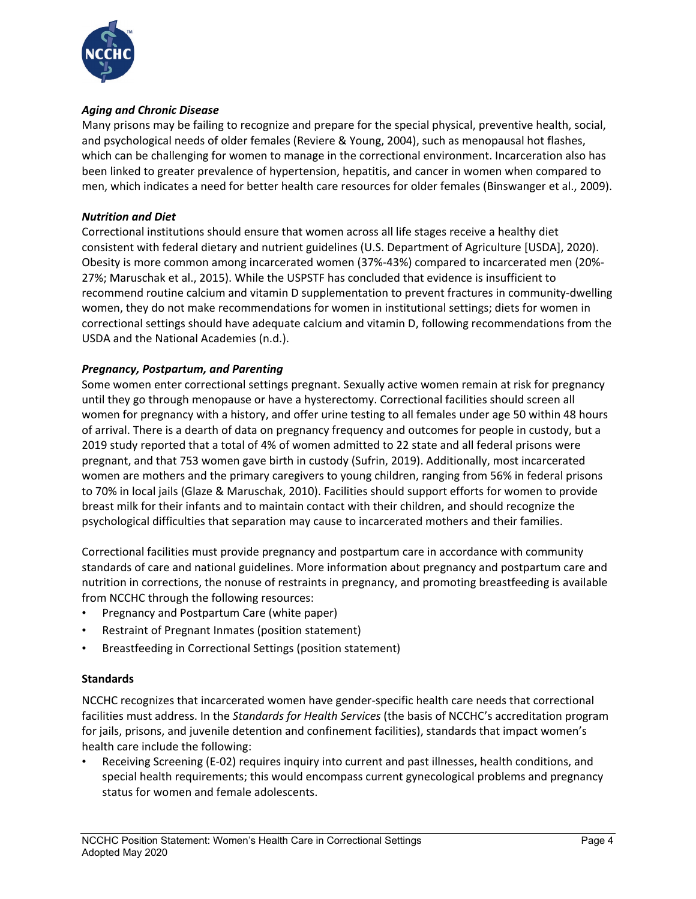

## *Aging and Chronic Disease*

Many prisons may be failing to recognize and prepare for the special physical, preventive health, social, and psychological needs of older females (Reviere & Young, 2004), such as menopausal hot flashes, which can be challenging for women to manage in the correctional environment. Incarceration also has been linked to greater prevalence of hypertension, hepatitis, and cancer in women when compared to men, which indicates a need for better health care resources for older females (Binswanger et al., 2009).

### *Nutrition and Diet*

Correctional institutions should ensure that women across all life stages receive a healthy diet consistent with federal dietary and nutrient guidelines (U.S. Department of Agriculture [USDA], 2020). Obesity is more common among incarcerated women (37%-43%) compared to incarcerated men (20%- 27%; Maruschak et al., 2015). While the USPSTF has concluded that evidence is insufficient to recommend routine calcium and vitamin D supplementation to prevent fractures in community-dwelling women, they do not make recommendations for women in institutional settings; diets for women in correctional settings should have adequate calcium and vitamin D, following recommendations from the USDA and the National Academies (n.d.).

### *Pregnancy, Postpartum, and Parenting*

Some women enter correctional settings pregnant. Sexually active women remain at risk for pregnancy until they go through menopause or have a hysterectomy. Correctional facilities should screen all women for pregnancy with a history, and offer urine testing to all females under age 50 within 48 hours of arrival. There is a dearth of data on pregnancy frequency and outcomes for people in custody, but a 2019 study reported that a total of 4% of women admitted to 22 state and all federal prisons were pregnant, and that 753 women gave birth in custody (Sufrin, 2019). Additionally, most incarcerated women are mothers and the primary caregivers to young children, ranging from 56% in federal prisons to 70% in local jails (Glaze & Maruschak, 2010). Facilities should support efforts for women to provide breast milk for their infants and to maintain contact with their children, and should recognize the psychological difficulties that separation may cause to incarcerated mothers and their families.

Correctional facilities must provide pregnancy and postpartum care in accordance with community standards of care and national guidelines. More information about pregnancy and postpartum care and nutrition in corrections, the nonuse of restraints in pregnancy, and promoting breastfeeding is available from NCCHC through the following resources:

- Pregnancy and Postpartum Care (white paper)
- Restraint of Pregnant Inmates (position statement)
- Breastfeeding in Correctional Settings (position statement)

### **Standards**

NCCHC recognizes that incarcerated women have gender-specific health care needs that correctional facilities must address. In the *Standards for Health Services* (the basis of NCCHC's accreditation program for jails, prisons, and juvenile detention and confinement facilities), standards that impact women's health care include the following:

• Receiving Screening (E-02) requires inquiry into current and past illnesses, health conditions, and special health requirements; this would encompass current gynecological problems and pregnancy status for women and female adolescents.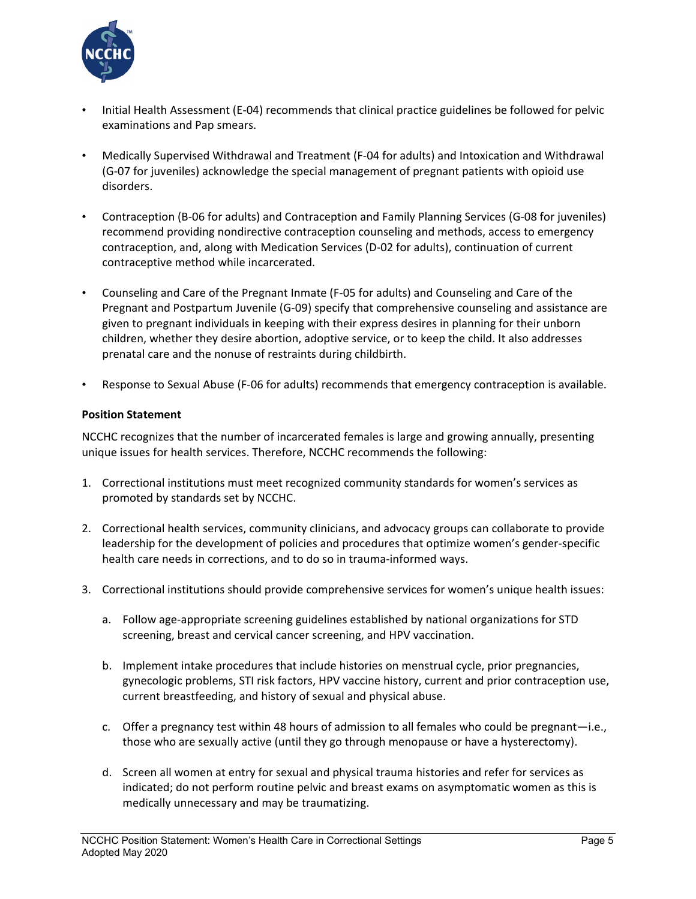

- Initial Health Assessment (E-04) recommends that clinical practice guidelines be followed for pelvic examinations and Pap smears.
- Medically Supervised Withdrawal and Treatment (F-04 for adults) and Intoxication and Withdrawal (G-07 for juveniles) acknowledge the special management of pregnant patients with opioid use disorders.
- Contraception (B-06 for adults) and Contraception and Family Planning Services (G-08 for juveniles) recommend providing nondirective contraception counseling and methods, access to emergency contraception, and, along with Medication Services (D-02 for adults), continuation of current contraceptive method while incarcerated.
- Counseling and Care of the Pregnant Inmate (F-05 for adults) and Counseling and Care of the Pregnant and Postpartum Juvenile (G-09) specify that comprehensive counseling and assistance are given to pregnant individuals in keeping with their express desires in planning for their unborn children, whether they desire abortion, adoptive service, or to keep the child. It also addresses prenatal care and the nonuse of restraints during childbirth.
- Response to Sexual Abuse (F-06 for adults) recommends that emergency contraception is available.

# **Position Statement**

NCCHC recognizes that the number of incarcerated females is large and growing annually, presenting unique issues for health services. Therefore, NCCHC recommends the following:

- 1. Correctional institutions must meet recognized community standards for women's services as promoted by standards set by NCCHC.
- 2. Correctional health services, community clinicians, and advocacy groups can collaborate to provide leadership for the development of policies and procedures that optimize women's gender-specific health care needs in corrections, and to do so in trauma-informed ways.
- 3. Correctional institutions should provide comprehensive services for women's unique health issues:
	- a. Follow age-appropriate screening guidelines established by national organizations for STD screening, breast and cervical cancer screening, and HPV vaccination.
	- b. Implement intake procedures that include histories on menstrual cycle, prior pregnancies, gynecologic problems, STI risk factors, HPV vaccine history, current and prior contraception use, current breastfeeding, and history of sexual and physical abuse.
	- c. Offer a pregnancy test within 48 hours of admission to all females who could be pregnant—i.e., those who are sexually active (until they go through menopause or have a hysterectomy).
	- d. Screen all women at entry for sexual and physical trauma histories and refer for services as indicated; do not perform routine pelvic and breast exams on asymptomatic women as this is medically unnecessary and may be traumatizing.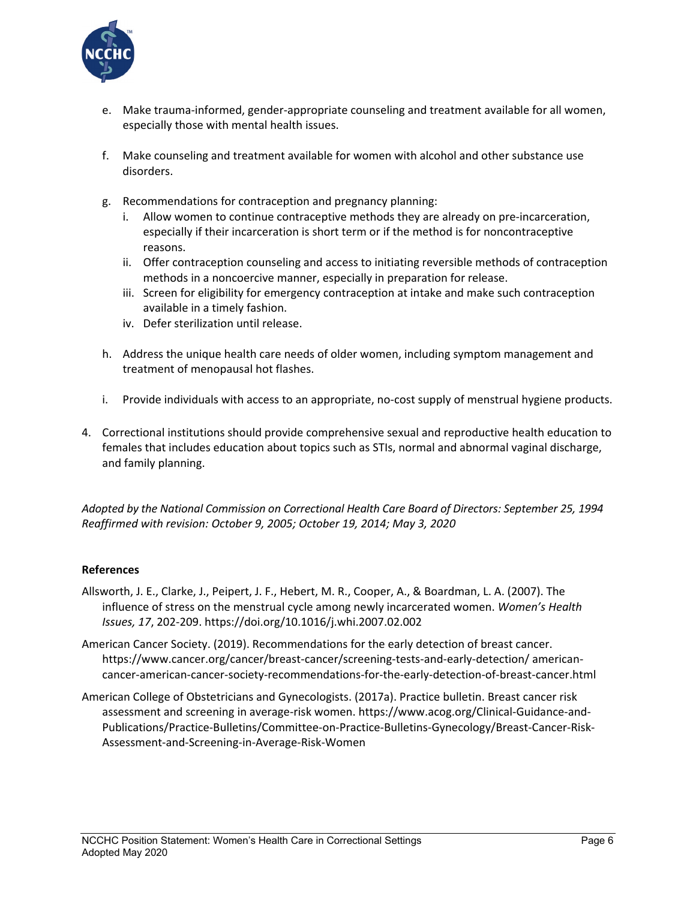

- e. Make trauma-informed, gender-appropriate counseling and treatment available for all women, especially those with mental health issues.
- f. Make counseling and treatment available for women with alcohol and other substance use disorders.
- g. Recommendations for contraception and pregnancy planning:
	- i. Allow women to continue contraceptive methods they are already on pre-incarceration, especially if their incarceration is short term or if the method is for noncontraceptive reasons.
	- ii. Offer contraception counseling and access to initiating reversible methods of contraception methods in a noncoercive manner, especially in preparation for release.
	- iii. Screen for eligibility for emergency contraception at intake and make such contraception available in a timely fashion.
	- iv. Defer sterilization until release.
- h. Address the unique health care needs of older women, including symptom management and treatment of menopausal hot flashes.
- i. Provide individuals with access to an appropriate, no-cost supply of menstrual hygiene products.
- 4. Correctional institutions should provide comprehensive sexual and reproductive health education to females that includes education about topics such as STIs, normal and abnormal vaginal discharge, and family planning.

*Adopted by the National Commission on Correctional Health Care Board of Directors: September 25, 1994 Reaffirmed with revision: October 9, 2005; October 19, 2014; May 3, 2020*

### **References**

- Allsworth, J. E., Clarke, J., Peipert, J. F., Hebert, M. R., Cooper, A., & Boardman, L. A. (2007). The influence of stress on the menstrual cycle among newly incarcerated women. *Women's Health Issues, 17*, 202-209. https://doi.org/10.1016/j.whi.2007.02.002
- American Cancer Society. (2019). Recommendations for the early detection of breast cancer. https://www.cancer.org/cancer/breast-cancer/screening-tests-and-early-detection/ americancancer-american-cancer-society-recommendations-for-the-early-detection-of-breast-cancer.html
- American College of Obstetricians and Gynecologists. (2017a). Practice bulletin. Breast cancer risk assessment and screening in average-risk women. https://www.acog.org/Clinical-Guidance-and-Publications/Practice-Bulletins/Committee-on-Practice-Bulletins-Gynecology/Breast-Cancer-Risk-Assessment-and-Screening-in-Average-Risk-Women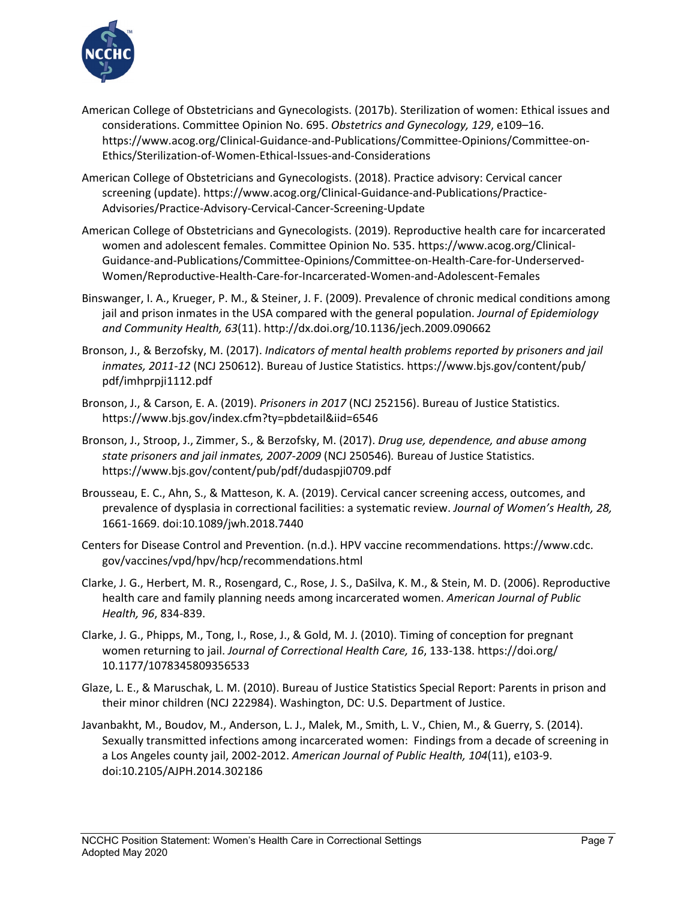

- American College of Obstetricians and Gynecologists. (2017b). Sterilization of women: Ethical issues and considerations. Committee Opinion No. 695. *Obstetrics and Gynecology, 129*, e109–16. [https://www.acog.org/Clinical-Guidance-and-Publications/Committee-Opinions/Committee-on-](https://www.acog.org/Clinical-Guidance-and-Publications/Committee-Opinions/Committee-on-Ethics/Sterilization-of-Women-Ethical-Issues-and-Considerations?IsMobileSet=false)[Ethics/Sterilization-of-Women-Ethical-Issues-and-Considerations](https://www.acog.org/Clinical-Guidance-and-Publications/Committee-Opinions/Committee-on-Ethics/Sterilization-of-Women-Ethical-Issues-and-Considerations?IsMobileSet=false)
- American College of Obstetricians and Gynecologists. (2018). Practice advisory: Cervical cancer screening (update). [https://www.acog.org/Clinical-Guidance-and-Publications/Practice-](https://www.acog.org/Clinical-Guidance-and-Publications/Practice-Advisories/Practice-Advisory-Cervical-Cancer-Screening-Update)[Advisories/Practice-Advisory-Cervical-Cancer-Screening-Update](https://www.acog.org/Clinical-Guidance-and-Publications/Practice-Advisories/Practice-Advisory-Cervical-Cancer-Screening-Update)
- American College of Obstetricians and Gynecologists. (2019). Reproductive health care for incarcerated women and adolescent females. Committee Opinion No. 535. https://www.acog.org/Clinical-Guidance-and-Publications/Committee-Opinions/Committee-on-Health-Care-for-Underserved-Women/Reproductive-Health-Care-for-Incarcerated-Women-and-Adolescent-Females
- Binswanger, I. A., Krueger, P. M., & Steiner, J. F. (2009). Prevalence of chronic medical conditions among jail and prison inmates in the USA compared with the general population. *Journal of Epidemiology and Community Health, 63*(11). http://dx.doi.org/10.1136/jech.2009.090662
- Bronson, J., & Berzofsky, M. (2017). *Indicators of mental health problems reported by prisoners and jail inmates, 2011-12* (NCJ 250612). Bureau of Justice Statistics. https://www.bjs.gov/content/pub/ pdf/imhprpji1112.pdf
- Bronson, J., & Carson, E. A. (2019). *Prisoners in 2017* (NCJ 252156). Bureau of Justice Statistics. https://www.bjs.gov/index.cfm?ty=pbdetail&iid=6546
- Bronson, J., Stroop, J., Zimmer, S., & Berzofsky, M. (2017). *Drug use, dependence, and abuse among state prisoners and jail inmates, 2007-2009* (NCJ 250546)*.* Bureau of Justice Statistics. https://www.bjs.gov/content/pub/pdf/dudaspji0709.pdf
- [Brousseau,](https://www.ncbi.nlm.nih.gov/pubmed/?term=Brousseau%20EC%5BAuthor%5D&cauthor=true&cauthor_uid=30939063) E. C., [Ahn,](https://www.ncbi.nlm.nih.gov/pubmed/?term=Ahn%20S%5BAuthor%5D&cauthor=true&cauthor_uid=30939063) S., & [Matteson,](https://www.ncbi.nlm.nih.gov/pubmed/?term=Matteson%20KA%5BAuthor%5D&cauthor=true&cauthor_uid=30939063) K. A. (2019). Cervical cancer screening access, outcomes, and prevalence of dysplasia in correctional facilities: a systematic review. *[Journal of Women's Health, 2](https://www.ncbi.nlm.nih.gov/pubmed/30939063)8,* 1661-1669. doi:10.1089/jwh.2018.7440
- Centers for Disease Control and Prevention. (n.d.). HPV vaccine recommendations. https://www.cdc. gov/vaccines/vpd/hpv/hcp/recommendations.html
- Clarke, J. G., Herbert, M. R., Rosengard, C., Rose, J. S., DaSilva, K. M., & Stein, M. D. (2006). Reproductive health care and family planning needs among incarcerated women. *American Journal of Public Health, 96*, 834-839.
- [Clarke, J. G.](http://www.ncbi.nlm.nih.gov/pubmed?term=Clarke%20JG%5BAuthor%5D&cauthor=true&cauthor_uid=20339130), [Phipps, M.](http://www.ncbi.nlm.nih.gov/pubmed?term=Phipps%20M%5BAuthor%5D&cauthor=true&cauthor_uid=20339130), [Tong, I.](http://www.ncbi.nlm.nih.gov/pubmed?term=Tong%20I%5BAuthor%5D&cauthor=true&cauthor_uid=20339130)[, Rose, J.](http://www.ncbi.nlm.nih.gov/pubmed?term=Rose%20J%5BAuthor%5D&cauthor=true&cauthor_uid=20339130), & [Gold, M.](http://www.ncbi.nlm.nih.gov/pubmed?term=Gold%20M%5BAuthor%5D&cauthor=true&cauthor_uid=20339130) [J. \(2010\). Timing of conception for pregnant](http://www.ncbi.nlm.nih.gov/pubmed/?term=clarke+2010+pregnancy+incarcerated)  women returning to jail. *[Journal of Correctional Health Care,](http://www.ncbi.nlm.nih.gov/pubmed/?term=clarke+2010+pregnancy+incarcerated) 16*, 133-138. https://doi.org/ 10.1177/1078345809356533
- Glaze, L. E., & Maruschak, L. M. (2010). Bureau of Justice Statistics Special Report: Parents in prison and their minor children (NCJ 222984). Washington, DC: U.S. Department of Justice.
- Javanbakht, M., Boudov, M., Anderson, L. J., Malek, M., Smith, L. V., Chien, M., & Guerry, S. (2014). Sexually transmitted infections among incarcerated women: Findings from a decade of screening in a Los Angeles county jail, 2002-2012. *American Journal of Public Health, 104*(11), e103-9. doi:10.2105/AJPH.2014.302186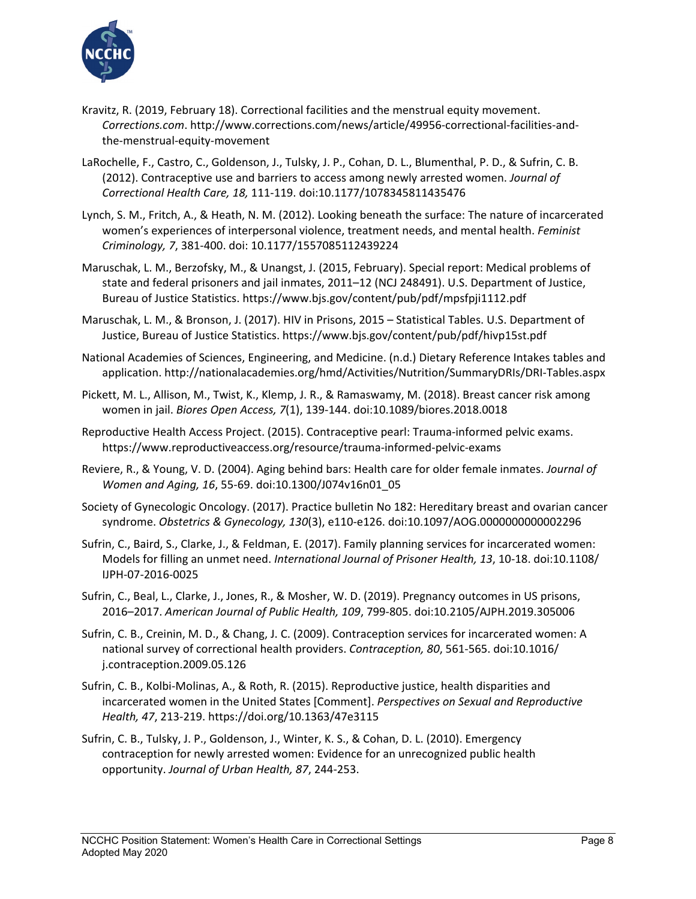

- Kravitz, R. (2019, February 18). Correctional facilities and the menstrual equity movement. *Corrections.com*. http://www.corrections.com/news/article/49956-correctional-facilities-andthe-menstrual-equity-movement
- LaRochelle, F., Castro, C., Goldenson, J., Tulsky, J. P., Cohan, D. L., Blumenthal, P. D., & Sufrin, C. B. (2012). Contraceptive use and barriers to access among newly arrested women. *Journal of Correctional Health Care, 18,* 111-119. doi:10.1177/1078345811435476
- Lynch, S. M., Fritch, A., & Heath, N. M. (2012). Looking beneath the surface: The nature of incarcerated women's experiences of interpersonal violence, treatment needs, and mental health. *Feminist Criminology, 7*, 381-400. doi: 10.1177/1557085112439224
- Maruschak, L. M., Berzofsky, M., & Unangst, J. (2015, February). Special report: Medical problems of state and federal prisoners and jail inmates, 2011–12 (NCJ 248491). U.S. Department of Justice, Bureau of Justice Statistics[. https://www.bjs.gov/content/pub/pdf/mpsfpji1112.pdf](https://www.bjs.gov/content/pub/pdf/mpsfpji1112.pdf)
- Maruschak, L. M., & Bronson, J. (2017). HIV in Prisons, 2015 Statistical Tables. U.S. Department of Justice, Bureau of Justice Statistics.<https://www.bjs.gov/content/pub/pdf/hivp15st.pdf>
- National Academies of Sciences, Engineering, and Medicine. (n.d.) Dietary Reference Intakes tables and application. http://nationalacademies.org/hmd/Activities/Nutrition/SummaryDRIs/DRI-Tables.aspx
- [Pickett,](https://www.ncbi.nlm.nih.gov/pubmed/?term=Pickett%20ML%5BAuthor%5D&cauthor=true&cauthor_uid=30250761) M. L., [Allison,](https://www.ncbi.nlm.nih.gov/pubmed/?term=Allison%20M%5BAuthor%5D&cauthor=true&cauthor_uid=30250761) M., [Twist,](https://www.ncbi.nlm.nih.gov/pubmed/?term=Twist%20K%5BAuthor%5D&cauthor=true&cauthor_uid=30250761) K., [Klemp,](https://www.ncbi.nlm.nih.gov/pubmed/?term=Klemp%20JR%5BAuthor%5D&cauthor=true&cauthor_uid=30250761) J. R., & [Ramaswamy,](https://www.ncbi.nlm.nih.gov/pubmed/?term=Ramaswamy%20M%5BAuthor%5D&cauthor=true&cauthor_uid=30250761) M. (2018). Breast cancer risk among women in jail. *Biores Open Access, 7*(1), 139-144. doi:10.1089/biores.2018.0018
- Reproductive Health Access Project. (2015). Contraceptive pearl: Trauma-informed pelvic exams. https://www.reproductiveaccess.org/resource/trauma-informed-pelvic-exams
- Reviere, R., & Young, V. D. (2004). Aging behind bars: Health care for older female inmates. *Journal of Women and Aging, 16*, 55-69. doi:10.1300/J074v16n01\_05
- Society of Gynecologic Oncology. (2017). Practice bulletin No 182: Hereditary breast and ovarian cancer syndrome. *Obstetrics & Gynecology, 130*(3), e110-e126. doi[:10.1097/AOG.0000000000002296](https://doi.org/10.1097/aog.0000000000002296)
- Sufrin, C., Baird, S., Clarke, J., & Feldman, E. (2017). Family planning services for incarcerated women: Models for filling an unmet need. *International Journal of Prisoner Health, 13*, 10-18. doi:10.1108/ IJPH-07-2016-0025
- Sufrin, C., Beal, L., Clarke, J., Jones, R., & Mosher, W. D. (2019). Pregnancy outcomes in US prisons, 2016–2017. *American Journal of Public Health, 109*, 799-805. doi:10.2105/AJPH.2019.305006
- Sufrin, C. B., Creinin, M. D., & Chang, J. C. (2009). Contraception services for incarcerated women: A national survey of correctional health providers. *Contraception, 80*, 561-565. doi:10.1016/ j.contraception.2009.05.126
- Sufrin, C. B., Kolbi-Molinas, A., & Roth, R. (2015). Reproductive justice, health disparities and incarcerated women in the United States [Comment]. *Perspectives on Sexual and Reproductive Health, 47*, 213-219. https://doi.org/10.1363/47e3115
- Sufrin, C. B.[, Tulsky,](http://www.ncbi.nlm.nih.gov/pubmed?term=Tulsky%20JP%5BAuthor%5D&cauthor=true&cauthor_uid=20012702) J. P., [Goldenson,](http://www.ncbi.nlm.nih.gov/pubmed?term=Goldenson%20J%5BAuthor%5D&cauthor=true&cauthor_uid=20012702) J., [Winter, K. S.](http://www.ncbi.nlm.nih.gov/pubmed?term=Winter%20KS%5BAuthor%5D&cauthor=true&cauthor_uid=20012702), [& Cohan, D. L.](http://www.ncbi.nlm.nih.gov/pubmed?term=Cohan%20DL%5BAuthor%5D&cauthor=true&cauthor_uid=20012702) (2010). Emergency contraception for newly arrested women: Evidence for an unrecognized public health opportunity. *Journal of Urban Health, 87*, 244-253.